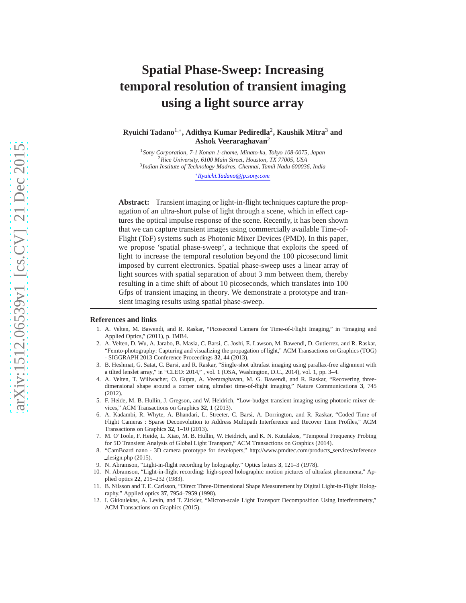# **Spatial Phase-Sweep: Increasing temporal resolution of transient imaging using a light source array**

**Ryuichi Tadano**1,<sup>∗</sup> **, Adithya Kumar Pediredla**<sup>2</sup> **, Kaushik Mitra**<sup>3</sup> **and Ashok Veeraraghavan**<sup>2</sup>

 *Sony Corporation, 7-1 Konan 1-chome, Minato-ku, Tokyo 108-0075, Japan Rice University, 6100 Main Street, Houston, TX 77005, USA Indian Institute of Technology Madras, Chennai, Tamil Nadu 600036, India* <sup>∗</sup>*Ryuichi.Tadano@jp.sony.com*

**Abstract:** Transient imaging or light-in-flight techniques capture the propagation of an ultra-short pulse of light through a scene, which in effect captures the optical impulse response of the scene. Recently, it has been shown that we can capture transient images using commercially available Time-of-Flight (ToF) systems such as Photonic Mixer Devices (PMD). In this paper, we propose 'spatial phase-sweep', a technique that exploits the speed of light to increase the temporal resolution beyond the 100 picosecond limit imposed by current electronics. Spatial phase-sweep uses a linear array of light sources with spatial separation of about 3 mm between them, thereby resulting in a time shift of about 10 picoseconds, which translates into 100 Gfps of transient imaging in theory. We demonstrate a prototype and transient imaging results using spatial phase-sweep.

#### <span id="page-0-0"></span>**References and links**

- 1. A. Velten, M. Bawendi, and R. Raskar, "Picosecond Camera for Time-of-Flight Imaging," in "Imaging and Applied Optics," (2011), p. IMB4.
- <span id="page-0-10"></span>2. A. Velten, D. Wu, A. Jarabo, B. Masia, C. Barsi, C. Joshi, E. Lawson, M. Bawendi, D. Gutierrez, and R. Raskar, "Femto-photography: Capturing and visualizing the propagation of light," ACM Transactions on Graphics (TOG) - SIGGRAPH 2013 Conference Proceedings **32**, 44 (2013).
- <span id="page-0-11"></span>3. B. Heshmat, G. Satat, C. Barsi, and R. Raskar, "Single-shot ultrafast imaging using parallax-free alignment with a tilted lenslet array," in "CLEO: 2014," , vol. 1 (OSA, Washington, D.C., 2014), vol. 1, pp. 3–4.
- <span id="page-0-1"></span>4. A. Velten, T. Willwacher, O. Gupta, A. Veeraraghavan, M. G. Bawendi, and R. Raskar, "Recovering threedimensional shape around a corner using ultrafast time-of-flight imaging," Nature Communications **3**, 745 (2012).
- <span id="page-0-2"></span>5. F. Heide, M. B. Hullin, J. Gregson, and W. Heidrich, "Low-budget transient imaging using photonic mixer devices," ACM Transactions on Graphics **32**, 1 (2013).
- <span id="page-0-3"></span>6. A. Kadambi, R. Whyte, A. Bhandari, L. Streeter, C. Barsi, A. Dorrington, and R. Raskar, "Coded Time of Flight Cameras : Sparse Deconvolution to Address Multipath Interference and Recover Time Profiles," ACM Transactions on Graphics **32**, 1–10 (2013).
- <span id="page-0-4"></span>7. M. O'Toole, F. Heide, L. Xiao, M. B. Hullin, W. Heidrich, and K. N. Kutulakos, "Temporal Frequency Probing for 5D Transient Analysis of Global Light Transport," ACM Transactions on Graphics (2014).
- <span id="page-0-5"></span>8. "CamBoard nano - 3D camera prototype for developers," http://www.pmdtec.com/products services/reference design.php (2015).
- <span id="page-0-6"></span>9. N. Abramson, "Light-in-flight recording by holography." Optics letters **3**, 121–3 (1978).
- <span id="page-0-7"></span>10. N. Abramson, "Light-in-flight recording: high-speed holographic motion pictures of ultrafast phenomena," Applied optics **22**, 215–232 (1983).
- <span id="page-0-8"></span>11. B. Nilsson and T. E. Carlsson, "Direct Three-Dimensional Shape Measurement by Digital Light-in-Flight Holography." Applied optics **37**, 7954–7959 (1998).
- <span id="page-0-9"></span>12. I. Gkioulekas, A. Levin, and T. Zickler, "Micron-scale Light Transport Decomposition Using Interferometry," ACM Transactions on Graphics (2015).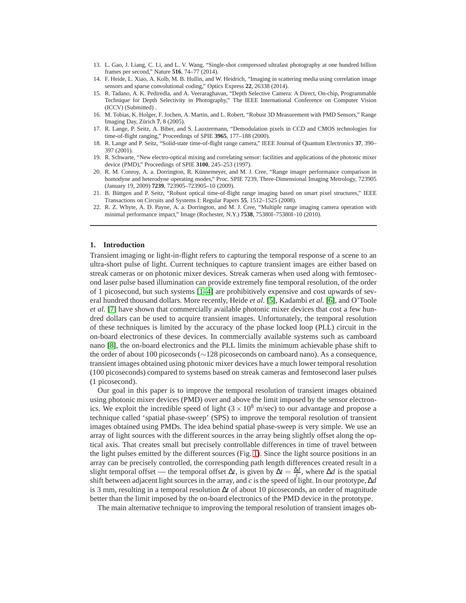- <span id="page-1-0"></span>13. L. Gao, J. Liang, C. Li, and L. V. Wang, "Single-shot compressed ultrafast photography at one hundred billion frames per second," Nature **516**, 74–77 (2014).
- <span id="page-1-1"></span>14. F. Heide, L. Xiao, A. Kolb, M. B. Hullin, and W. Heidrich, "Imaging in scattering media using correlation image sensors and sparse convolutional coding," Optics Express **22**, 26338 (2014).
- <span id="page-1-2"></span>15. R. Tadano, A. K. Pediredla, and A. Veeraraghavan, "Depth Selective Camera: A Direct, On-chip, Programmable Technique for Depth Selectivity in Photography," The IEEE International Conference on Computer Vision (ICCV) (Submitted) .
- <span id="page-1-3"></span>16. M. Tobias, K. Holger, F. Jochen, A. Martin, and L. Robert, "Robust 3D Measurement with PMD Sensors," Range Imaging Day, Zürich 7, 8 (2005).
- 17. R. Lange, P. Seitz, A. Biber, and S. Lauxtermann, "Demodulation pixels in CCD and CMOS technologies for time-of-flight ranging," Proceedings of SPIE **3965**, 177–188 (2000).
- 18. R. Lange and P. Seitz, "Solid-state time-of-flight range camera," IEEE Journal of Quantum Electronics **37**, 390– 397 (2001).
- 19. R. Schwarte, "New electro-optical mixing and correlating sensor: facilities and applications of the photonic mixer device (PMD)," Proceedings of SPIE **3100**, 245–253 (1997).
- <span id="page-1-4"></span>20. R. M. Conroy, A. a. Dorrington, R. Künnemeyer, and M. J. Cree, "Range imager performance comparison in homodyne and heterodyne operating modes," Proc. SPIE 7239, Three-Dimensional Imaging Metrology, 723905 (January 19, 2009) **7239**, 723905–723905–10 (2009).
- <span id="page-1-5"></span>21. B. Büttgen and P. Seitz, "Robust optical time-of-flight range imaging based on smart pixel structures," IEEE Transactions on Circuits and Systems I: Regular Papers **55**, 1512–1525 (2008).
- <span id="page-1-6"></span>22. R. Z. Whyte, A. D. Payne, A. a. Dorrington, and M. J. Cree, "Multiple range imaging camera operation with minimal performance impact," Image (Rochester, N.Y.) **7538**, 75380I–75380I–10 (2010).

#### **1. Introduction**

Transient imaging or light-in-flight refers to capturing the temporal response of a scene to an ultra-short pulse of light. Current techniques to capture transient images are either based on streak cameras or on photonic mixer devices. Streak cameras when used along with femtosecond laser pulse based illumination can provide extremely fine temporal resolution, of the order of 1 picosecond, but such systems [\[1](#page-0-0)[–4\]](#page-0-1) are prohibitively expensive and cost upwards of several hundred thousand dollars. More recently, Heide *et al.* [\[5\]](#page-0-2), Kadambi *et al.* [\[6\]](#page-0-3), and O'Toole *et al.* [\[7\]](#page-0-4) have shown that commercially available photonic mixer devices that cost a few hundred dollars can be used to acquire transient images. Unfortunately, the temporal resolution of these techniques is limited by the accuracy of the phase locked loop (PLL) circuit in the on-board electronics of these devices. In commercially available systems such as camboard nano [\[8\]](#page-0-5), the on-board electronics and the PLL limits the minimum achievable phase shift to the order of about 100 picoseconds (∼128 picoseconds on camboard nano). As a consequence, transient images obtained using photonic mixer devices have a much lower temporal resolution (100 picoseconds) compared to systems based on streak cameras and femtosecond laser pulses (1 picosecond).

Our goal in this paper is to improve the temporal resolution of transient images obtained using photonic mixer devices (PMD) over and above the limit imposed by the sensor electronics. We exploit the incredible speed of light ( $3 \times 10^8$  m/sec) to our advantage and propose a technique called 'spatial phase-sweep' (SPS) to improve the temporal resolution of transient images obtained using PMDs. The idea behind spatial phase-sweep is very simple. We use an array of light sources with the different sources in the array being slightly offset along the optical axis. That creates small but precisely controllable differences in time of travel between the light pulses emitted by the different sources (Fig. [1\)](#page-2-0). Since the light source positions in an array can be precisely controlled, the corresponding path length differences created result in a slight temporal offset — the temporal offset  $\Delta t$ , is given by  $\Delta t = \frac{\Delta d}{c}$ , where  $\Delta d$  is the spatial shift between adjacent light sources in the array, and *c* is the speed of light. In our prototype, ∆*d* is 3 mm, resulting in a temporal resolution ∆*t* of about 10 picoseconds, an order of magnitude better than the limit imposed by the on-board electronics of the PMD device in the prototype.

The main alternative technique to improving the temporal resolution of transient images ob-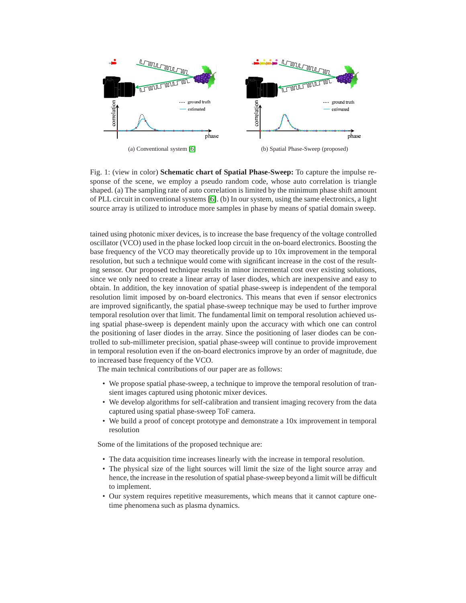<span id="page-2-0"></span>

(a) Conventional system [\[6\]](#page-0-3)

(b) Spatial Phase-Sweep (proposed)

Fig. 1: (view in color) **Schematic chart of Spatial Phase-Sweep:** To capture the impulse response of the scene, we employ a pseudo random code, whose auto correlation is triangle shaped. (a) The sampling rate of auto correlation is limited by the minimum phase shift amount of PLL circuit in conventional systems [\[6\]](#page-0-3). (b) In our system, using the same electronics, a light source array is utilized to introduce more samples in phase by means of spatial domain sweep.

tained using photonic mixer devices, is to increase the base frequency of the voltage controlled oscillator (VCO) used in the phase locked loop circuit in the on-board electronics. Boosting the base frequency of the VCO may theoretically provide up to 10x improvement in the temporal resolution, but such a technique would come with significant increase in the cost of the resulting sensor. Our proposed technique results in minor incremental cost over existing solutions, since we only need to create a linear array of laser diodes, which are inexpensive and easy to obtain. In addition, the key innovation of spatial phase-sweep is independent of the temporal resolution limit imposed by on-board electronics. This means that even if sensor electronics are improved significantly, the spatial phase-sweep technique may be used to further improve temporal resolution over that limit. The fundamental limit on temporal resolution achieved using spatial phase-sweep is dependent mainly upon the accuracy with which one can control the positioning of laser diodes in the array. Since the positioning of laser diodes can be controlled to sub-millimeter precision, spatial phase-sweep will continue to provide improvement in temporal resolution even if the on-board electronics improve by an order of magnitude, due to increased base frequency of the VCO.

The main technical contributions of our paper are as follows:

- We propose spatial phase-sweep, a technique to improve the temporal resolution of transient images captured using photonic mixer devices.
- We develop algorithms for self-calibration and transient imaging recovery from the data captured using spatial phase-sweep ToF camera.
- We build a proof of concept prototype and demonstrate a 10x improvement in temporal resolution

Some of the limitations of the proposed technique are:

- The data acquisition time increases linearly with the increase in temporal resolution.
- The physical size of the light sources will limit the size of the light source array and hence, the increase in the resolution of spatial phase-sweep beyond a limit will be difficult to implement.
- Our system requires repetitive measurements, which means that it cannot capture onetime phenomena such as plasma dynamics.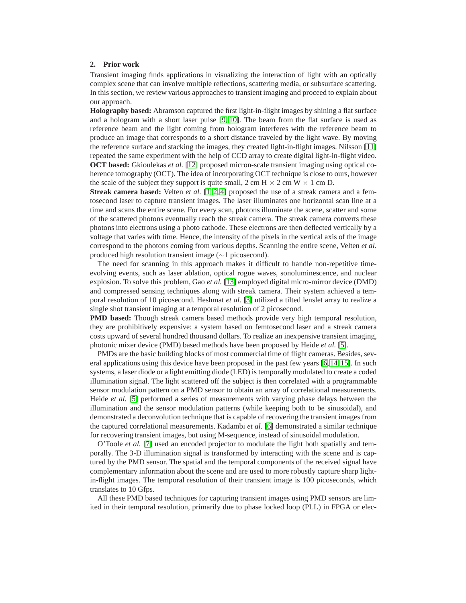## <span id="page-3-0"></span>**2. Prior work**

Transient imaging finds applications in visualizing the interaction of light with an optically complex scene that can involve multiple reflections, scattering media, or subsurface scattering. In this section, we review various approaches to transient imaging and proceed to explain about our approach.

**Holography based:** Abramson captured the first light-in-flight images by shining a flat surface and a hologram with a short laser pulse [\[9,](#page-0-6) [10\]](#page-0-7). The beam from the flat surface is used as reference beam and the light coming from hologram interferes with the reference beam to produce an image that corresponds to a short distance traveled by the light wave. By moving the reference surface and stacking the images, they created light-in-flight images. Nilsson [\[11\]](#page-0-8) repeated the same experiment with the help of CCD array to create digital light-in-flight video. **OCT based:** Gkioulekas *et al.* [\[12\]](#page-0-9) proposed micron-scale transient imaging using optical coherence tomography (OCT). The idea of incorporating OCT technique is close to ours, however the scale of the subject they support is quite small, 2 cm H  $\times$  2 cm W  $\times$  1 cm D.

**Streak camera based:** Velten *et al.* [\[1,](#page-0-0) [2,](#page-0-10) [4\]](#page-0-1) proposed the use of a streak camera and a femtosecond laser to capture transient images. The laser illuminates one horizontal scan line at a time and scans the entire scene. For every scan, photons illuminate the scene, scatter and some of the scattered photons eventually reach the streak camera. The streak camera converts these photons into electrons using a photo cathode. These electrons are then deflected vertically by a voltage that varies with time. Hence, the intensity of the pixels in the vertical axis of the image correspond to the photons coming from various depths. Scanning the entire scene, Velten *et al.* produced high resolution transient image (∼1 picosecond).

The need for scanning in this approach makes it difficult to handle non-repetitive timeevolving events, such as laser ablation, optical rogue waves, sonoluminescence, and nuclear explosion. To solve this problem, Gao *et al.* [\[13\]](#page-1-0) employed digital micro-mirror device (DMD) and compressed sensing techniques along with streak camera. Their system achieved a temporal resolution of 10 picosecond. Heshmat *et al.* [\[3\]](#page-0-11) utilized a tilted lenslet array to realize a single shot transient imaging at a temporal resolution of 2 picosecond.

**PMD based:** Though streak camera based methods provide very high temporal resolution, they are prohibitively expensive: a system based on femtosecond laser and a streak camera costs upward of several hundred thousand dollars. To realize an inexpensive transient imaging, photonic mixer device (PMD) based methods have been proposed by Heide *et al.* [\[5\]](#page-0-2).

PMDs are the basic building blocks of most commercial time of flight cameras. Besides, several applications using this device have been proposed in the past few years [\[6,](#page-0-3) [14,](#page-1-1) [15\]](#page-1-2). In such systems, a laser diode or a light emitting diode (LED) is temporally modulated to create a coded illumination signal. The light scattered off the subject is then correlated with a programmable sensor modulation pattern on a PMD sensor to obtain an array of correlational measurements. Heide *et al.* [\[5\]](#page-0-2) performed a series of measurements with varying phase delays between the illumination and the sensor modulation patterns (while keeping both to be sinusoidal), and demonstrated a deconvolution technique that is capable of recovering the transient images from the captured correlational measurements. Kadambi *et al.* [\[6\]](#page-0-3) demonstrated a similar technique for recovering transient images, but using M-sequence, instead of sinusoidal modulation.

O'Toole *et al.* [\[7\]](#page-0-4) used an encoded projector to modulate the light both spatially and temporally. The 3-D illumination signal is transformed by interacting with the scene and is captured by the PMD sensor. The spatial and the temporal components of the received signal have complementary information about the scene and are used to more robustly capture sharp lightin-flight images. The temporal resolution of their transient image is 100 picoseconds, which translates to 10 Gfps.

All these PMD based techniques for capturing transient images using PMD sensors are limited in their temporal resolution, primarily due to phase locked loop (PLL) in FPGA or elec-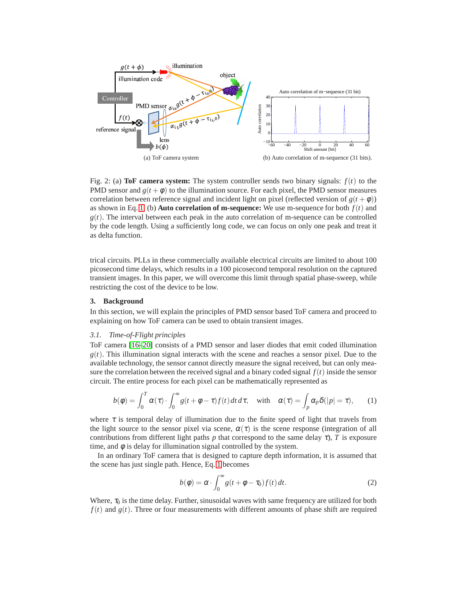<span id="page-4-1"></span>

<span id="page-4-2"></span>Fig. 2: (a) **ToF camera system:** The system controller sends two binary signals:  $f(t)$  to the PMD sensor and  $g(t + \phi)$  to the illumination source. For each pixel, the PMD sensor measures correlation between reference signal and incident light on pixel (reflected version of  $g(t + \phi)$ ) as shown in Eq. [1.](#page-4-0) (b) **Auto correlation of m-sequence:** We use m-sequence for both  $f(t)$  and  $g(t)$ . The interval between each peak in the auto correlation of m-sequence can be controlled by the code length. Using a sufficiently long code, we can focus on only one peak and treat it as delta function.

trical circuits. PLLs in these commercially available electrical circuits are limited to about 100 picosecond time delays, which results in a 100 picosecond temporal resolution on the captured transient images. In this paper, we will overcome this limit through spatial phase-sweep, while restricting the cost of the device to be low.

# **3. Background**

In this section, we will explain the principles of PMD sensor based ToF camera and proceed to explaining on how ToF camera can be used to obtain transient images.

# *3.1. Time-of-Flight principles*

ToF camera [\[16–](#page-1-3)[20\]](#page-1-4) consists of a PMD sensor and laser diodes that emit coded illumination  $g(t)$ . This illumination signal interacts with the scene and reaches a sensor pixel. Due to the available technology, the sensor cannot directly measure the signal received, but can only measure the correlation between the received signal and a binary coded signal  $f(t)$  inside the sensor circuit. The entire process for each pixel can be mathematically represented as

<span id="page-4-0"></span>
$$
b(\phi) = \int_0^T \alpha(\tau) \cdot \int_0^\infty g(t + \phi - \tau) f(t) dt d\tau, \quad \text{with} \quad \alpha(\tau) = \int_p \alpha_p \delta(|p| = \tau), \qquad (1)
$$

where  $\tau$  is temporal delay of illumination due to the finite speed of light that travels from the light source to the sensor pixel via scene,  $\alpha(\tau)$  is the scene response (integration of all contributions from different light paths *p* that correspond to the same delay  $\tau$ ), *T* is exposure time, and  $\phi$  is delay for illumination signal controlled by the system.

In an ordinary ToF camera that is designed to capture depth information, it is assumed that the scene has just single path. Hence, Eq. [1](#page-4-0) becomes

$$
b(\phi) = \alpha \cdot \int_0^\infty g(t + \phi - \tau_0) f(t) dt.
$$
 (2)

Where,  $\tau_0$  is the time delay. Further, sinusoidal waves with same frequency are utilized for both  $f(t)$  and  $g(t)$ . Three or four measurements with different amounts of phase shift are required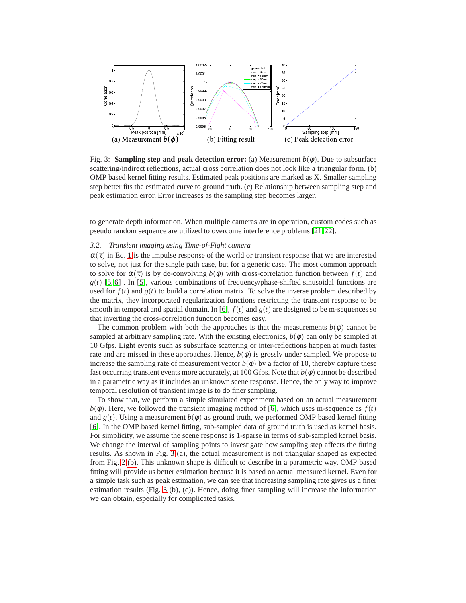<span id="page-5-0"></span>

Fig. 3: **Sampling step and peak detection error:** (a) Measurement  $b(\phi)$ . Due to subsurface scattering/indirect reflections, actual cross correlation does not look like a triangular form. (b) OMP based kernel fitting results. Estimated peak positions are marked as X. Smaller sampling step better fits the estimated curve to ground truth. (c) Relationship between sampling step and peak estimation error. Error increases as the sampling step becomes larger.

to generate depth information. When multiple cameras are in operation, custom codes such as pseudo random sequence are utilized to overcome interference problems [\[21,](#page-1-5) [22\]](#page-1-6).

# *3.2. Transient imaging using Time-of-Fight camera*

 $\alpha(\tau)$  in Eq. [1](#page-4-0) is the impulse response of the world or transient response that we are interested to solve, not just for the single path case, but for a generic case. The most common approach to solve for  $\alpha(\tau)$  is by de-convolving  $b(\phi)$  with cross-correlation function between  $f(t)$  and  $g(t)$  [\[5,](#page-0-2) [6\]](#page-0-3). In [\[5\]](#page-0-2), various combinations of frequency/phase-shifted sinusoidal functions are used for  $f(t)$  and  $g(t)$  to build a correlation matrix. To solve the inverse problem described by the matrix, they incorporated regularization functions restricting the transient response to be smooth in temporal and spatial domain. In [\[6\]](#page-0-3),  $f(t)$  and  $g(t)$  are designed to be m-sequences so that inverting the cross-correlation function becomes easy.

The common problem with both the approaches is that the measurements  $b(\phi)$  cannot be sampled at arbitrary sampling rate. With the existing electronics,  $b(\phi)$  can only be sampled at 10 Gfps. Light events such as subsurface scattering or inter-reflections happen at much faster rate and are missed in these approaches. Hence,  $b(\phi)$  is grossly under sampled. We propose to increase the sampling rate of measurement vector  $b(\phi)$  by a factor of 10, thereby capture these fast occurring transient events more accurately, at 100 Gfps. Note that  $b(\phi)$  cannot be described in a parametric way as it includes an unknown scene response. Hence, the only way to improve temporal resolution of transient image is to do finer sampling.

To show that, we perform a simple simulated experiment based on an actual measurement  $b(\phi)$ . Here, we followed the transient imaging method of [\[6\]](#page-0-3), which uses m-sequence as  $f(t)$ and  $g(t)$ . Using a measurement  $b(\phi)$  as ground truth, we performed OMP based kernel fitting [\[6\]](#page-0-3). In the OMP based kernel fitting, sub-sampled data of ground truth is used as kernel basis. For simplicity, we assume the scene response is 1-sparse in terms of sub-sampled kernel basis. We change the interval of sampling points to investigate how sampling step affects the fitting results. As shown in Fig. [3](#page-5-0) (a), the actual measurement is not triangular shaped as expected from Fig. [2](#page-4-1) [\(b\).](#page-4-2) This unknown shape is difficult to describe in a parametric way. OMP based fitting will provide us better estimation because it is based on actual measured kernel. Even for a simple task such as peak estimation, we can see that increasing sampling rate gives us a finer estimation results (Fig. [3](#page-5-0) (b), (c)). Hence, doing finer sampling will increase the information we can obtain, especially for complicated tasks.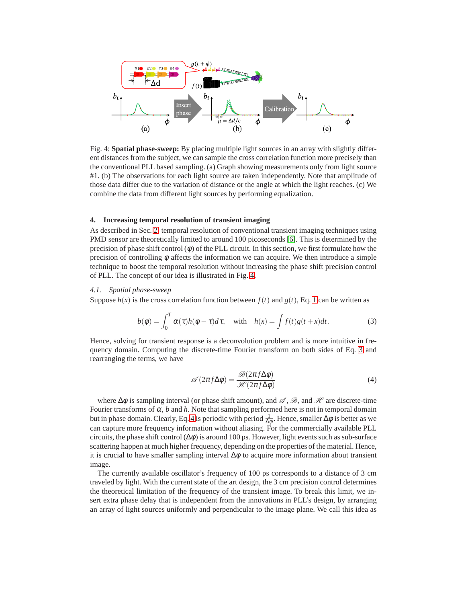<span id="page-6-0"></span>

Fig. 4: **Spatial phase-sweep:** By placing multiple light sources in an array with slightly different distances from the subject, we can sample the cross correlation function more precisely than the conventional PLL based sampling. (a) Graph showing measurements only from light source #1. (b) The observations for each light source are taken independently. Note that amplitude of those data differ due to the variation of distance or the angle at which the light reaches. (c) We combine the data from different light sources by performing equalization.

#### **4. Increasing temporal resolution of transient imaging**

As described in Sec. [2,](#page-3-0) temporal resolution of conventional transient imaging techniques using PMD sensor are theoretically limited to around 100 picoseconds [\[6\]](#page-0-3). This is determined by the precision of phase shift control  $(\phi)$  of the PLL circuit. In this section, we first formulate how the precision of controlling  $\phi$  affects the information we can acquire. We then introduce a simple technique to boost the temporal resolution without increasing the phase shift precision control of PLL. The concept of our idea is illustrated in Fig. [4.](#page-6-0)

# *4.1. Spatial phase-sweep*

Suppose  $h(x)$  is the cross correlation function between  $f(t)$  and  $g(t)$ , Eq. [1](#page-4-0) can be written as

<span id="page-6-1"></span>
$$
b(\phi) = \int_0^T \alpha(\tau)h(\phi - \tau)d\tau, \quad \text{with} \quad h(x) = \int f(t)g(t + x)dt.
$$
 (3)

Hence, solving for transient response is a deconvolution problem and is more intuitive in frequency domain. Computing the discrete-time Fourier transform on both sides of Eq. [3](#page-6-1) and rearranging the terms, we have

<span id="page-6-2"></span>
$$
\mathscr{A}(2\pi f \Delta \phi) = \frac{\mathscr{B}(2\pi f \Delta \phi)}{\mathscr{H}(2\pi f \Delta \phi)}
$$
(4)

where  $\Delta\phi$  is sampling interval (or phase shift amount), and  $\mathscr{A}, \mathscr{B}$ , and  $\mathscr{H}$  are discrete-time Fourier transforms of  $\alpha$ , *b* and *h*. Note that sampling performed here is not in temporal domain but in phase domain. Clearly, Eq. [4](#page-6-2) is periodic with period  $\frac{1}{\Delta \phi}$ . Hence, smaller  $\Delta \phi$  is better as we can capture more frequency information without aliasing. For the commercially available PLL circuits, the phase shift control  $(\Delta \phi)$  is around 100 ps. However, light events such as sub-surface scattering happen at much higher frequency, depending on the properties of the material. Hence, it is crucial to have smaller sampling interval  $\Delta \phi$  to acquire more information about transient image.

The currently available oscillator's frequency of 100 ps corresponds to a distance of 3 cm traveled by light. With the current state of the art design, the 3 cm precision control determines the theoretical limitation of the frequency of the transient image. To break this limit, we insert extra phase delay that is independent from the innovations in PLL's design, by arranging an array of light sources uniformly and perpendicular to the image plane. We call this idea as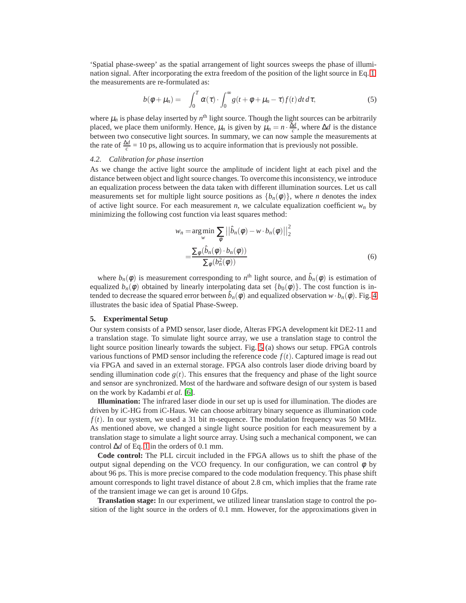'Spatial phase-sweep' as the spatial arrangement of light sources sweeps the phase of illumination signal. After incorporating the extra freedom of the position of the light source in Eq. [1,](#page-4-0) the measurements are re-formulated as:

$$
b(\phi + \mu_n) = \int_0^T \alpha(\tau) \cdot \int_0^\infty g(t + \phi + \mu_n - \tau) f(t) dt d\tau, \tag{5}
$$

where  $\mu_n$  is phase delay inserted by  $n^{\text{th}}$  light source. Though the light sources can be arbitrarily placed, we place them uniformly. Hence,  $\mu_n$  is given by  $\mu_n = n \cdot \frac{\Delta d}{c}$ , where  $\Delta d$  is the distance between two consecutive light sources. In summary, we can now sample the measurements at the rate of  $\frac{\Delta d}{c} = 10$  ps, allowing us to acquire information that is previously not possible.

## *4.2. Calibration for phase insertion*

As we change the active light source the amplitude of incident light at each pixel and the distance between object and light source changes. To overcome this inconsistency, we introduce an equalization process between the data taken with different illumination sources. Let us call measurements set for multiple light source positions as  ${b_n(\phi)}$ , where *n* denotes the index of active light source. For each measurement *n*, we calculate equalization coefficient  $w_n$  by minimizing the following cost function via least squares method:

$$
w_n = \underset{w}{\arg\min} \sum_{\phi} \left| \left| \hat{b}_n(\phi) - w \cdot b_n(\phi) \right| \right|_2^2
$$
  
= 
$$
\frac{\sum_{\phi} (\hat{b}_n(\phi) \cdot b_n(\phi))}{\sum_{\phi} (b_n^2(\phi))}
$$
 (6)

where  $b_n(\phi)$  is measurement corresponding to  $n^{\text{th}}$  light source, and  $\hat{b}_n(\phi)$  is estimation of equalized  $b_n(\phi)$  obtained by linearly interpolating data set  $\{b_0(\phi)\}\$ . The cost function is intended to decrease the squared error between  $\hat{b}_n(\phi)$  and equalized observation  $w \cdot b_n(\phi)$ . Fig. [4](#page-6-0) illustrates the basic idea of Spatial Phase-Sweep.

#### <span id="page-7-0"></span>**5. Experimental Setup**

Our system consists of a PMD sensor, laser diode, Alteras FPGA development kit DE2-11 and a translation stage. To simulate light source array, we use a translation stage to control the light source position linearly towards the subject. Fig. [5](#page-8-0) (a) shows our setup. FPGA controls various functions of PMD sensor including the reference code  $f(t)$ . Captured image is read out via FPGA and saved in an external storage. FPGA also controls laser diode driving board by sending illumination code  $g(t)$ . This ensures that the frequency and phase of the light source and sensor are synchronized. Most of the hardware and software design of our system is based on the work by Kadambi *et al.* [\[6\]](#page-0-3).

**Illumination:** The infrared laser diode in our set up is used for illumination. The diodes are driven by iC-HG from iC-Haus. We can choose arbitrary binary sequence as illumination code  $f(t)$ . In our system, we used a 31 bit m-sequence. The modulation frequency was 50 MHz. As mentioned above, we changed a single light source position for each measurement by a translation stage to simulate a light source array. Using such a mechanical component, we can control ∆*d* of Eq. [1](#page-4-0) in the orders of 0.1 mm.

**Code control:** The PLL circuit included in the FPGA allows us to shift the phase of the output signal depending on the VCO frequency. In our configuration, we can control  $\phi$  by about 96 ps. This is more precise compared to the code modulation frequency. This phase shift amount corresponds to light travel distance of about 2.8 cm, which implies that the frame rate of the transient image we can get is around 10 Gfps.

**Translation stage:** In our experiment, we utilized linear translation stage to control the position of the light source in the orders of 0.1 mm. However, for the approximations given in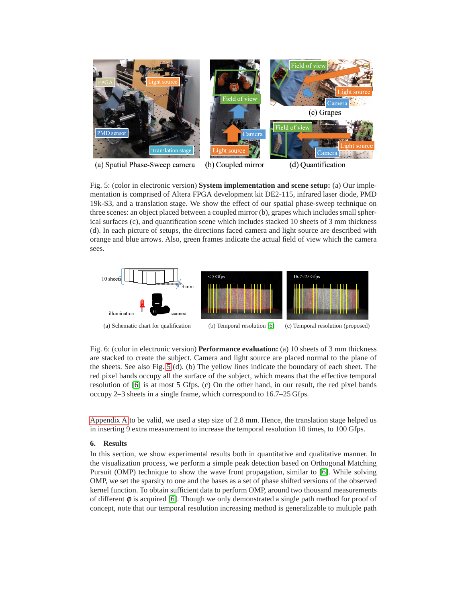<span id="page-8-0"></span>

(a) Spatial Phase-Sweep camera (b) Coupled mirror (d) Quantification

Fig. 5: (color in electronic version) **System implementation and scene setup:** (a) Our implementation is comprised of Altera FPGA development kit DE2-115, infrared laser diode, PMD 19k-S3, and a translation stage. We show the effect of our spatial phase-sweep technique on three scenes: an object placed between a coupled mirror (b), grapes which includes small spherical surfaces (c), and quantification scene which includes stacked 10 sheets of 3 mm thickness (d). In each picture of setups, the directions faced camera and light source are described with orange and blue arrows. Also, green frames indicate the actual field of view which the camera sees.

<span id="page-8-2"></span><span id="page-8-1"></span>

<span id="page-8-3"></span>Fig. 6: (color in electronic version) **Performance evaluation:** (a) 10 sheets of 3 mm thickness are stacked to create the subject. Camera and light source are placed normal to the plane of the sheets. See also Fig. [5](#page-8-0) (d). (b) The yellow lines indicate the boundary of each sheet. The red pixel bands occupy all the surface of the subject, which means that the effective temporal resolution of [\[6\]](#page-0-3) is at most 5 Gfps. (c) On the other hand, in our result, the red pixel bands occupy 2–3 sheets in a single frame, which correspond to 16.7–25 Gfps.

[Appendix A](#page-13-0) to be valid, we used a step size of 2.8 mm. Hence, the translation stage helped us in inserting 9 extra measurement to increase the temporal resolution 10 times, to 100 Gfps.

# **6. Results**

In this section, we show experimental results both in quantitative and qualitative manner. In the visualization process, we perform a simple peak detection based on Orthogonal Matching Pursuit (OMP) technique to show the wave front propagation, similar to [\[6\]](#page-0-3). While solving OMP, we set the sparsity to one and the bases as a set of phase shifted versions of the observed kernel function. To obtain sufficient data to perform OMP, around two thousand measurements of different  $\phi$  is acquired [\[6\]](#page-0-3). Though we only demonstrated a single path method for proof of concept, note that our temporal resolution increasing method is generalizable to multiple path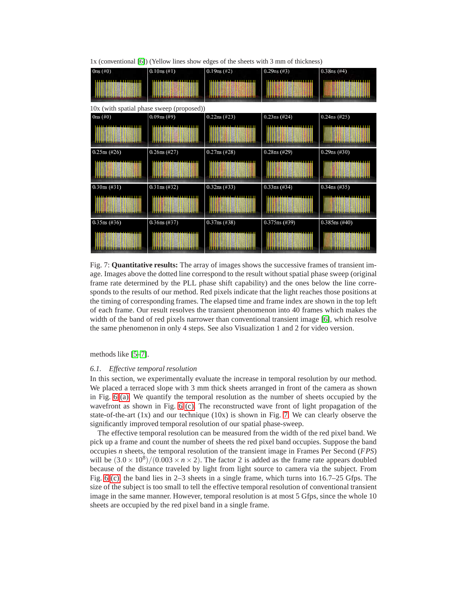

<span id="page-9-0"></span>1x (conventional [\[6\]](#page-0-3)) (Yellow lines show edges of the sheets with 3 mm of thickness)

Fig. 7: **Quantitative results:** The array of images shows the successive frames of transient image. Images above the dotted line correspond to the result without spatial phase sweep (original frame rate determined by the PLL phase shift capability) and the ones below the line corresponds to the results of our method. Red pixels indicate that the light reaches those positions at the timing of corresponding frames. The elapsed time and frame index are shown in the top left of each frame. Our result resolves the transient phenomenon into 40 frames which makes the width of the band of red pixels narrower than conventional transient image [\[6\]](#page-0-3), which resolve the same phenomenon in only 4 steps. See also Visualization 1 and 2 for video version.

<span id="page-9-1"></span>methods like [\[5](#page-0-2)[–7\]](#page-0-4).

### *6.1. Effective temporal resolution*

In this section, we experimentally evaluate the increase in temporal resolution by our method. We placed a terraced slope with 3 mm thick sheets arranged in front of the camera as shown in Fig. [6](#page-8-1) [\(a\).](#page-8-2) We quantify the temporal resolution as the number of sheets occupied by the wavefront as shown in Fig. [6](#page-8-1) [\(c\).](#page-8-3) The reconstructed wave front of light propagation of the state-of-the-art  $(1x)$  and our technique  $(10x)$  is shown in Fig. [7.](#page-9-0) We can clearly observe the significantly improved temporal resolution of our spatial phase-sweep.

The effective temporal resolution can be measured from the width of the red pixel band. We pick up a frame and count the number of sheets the red pixel band occupies. Suppose the band occupies *n* sheets, the temporal resolution of the transient image in Frames Per Second (*FPS*) will be  $(3.0 \times 10^8)/(0.003 \times n \times 2)$ . The factor 2 is added as the frame rate appears doubled because of the distance traveled by light from light source to camera via the subject. From Fig. [6](#page-8-1) [\(c\),](#page-8-3) the band lies in 2–3 sheets in a single frame, which turns into 16.7–25 Gfps. The size of the subject is too small to tell the effective temporal resolution of conventional transient image in the same manner. However, temporal resolution is at most 5 Gfps, since the whole 10 sheets are occupied by the red pixel band in a single frame.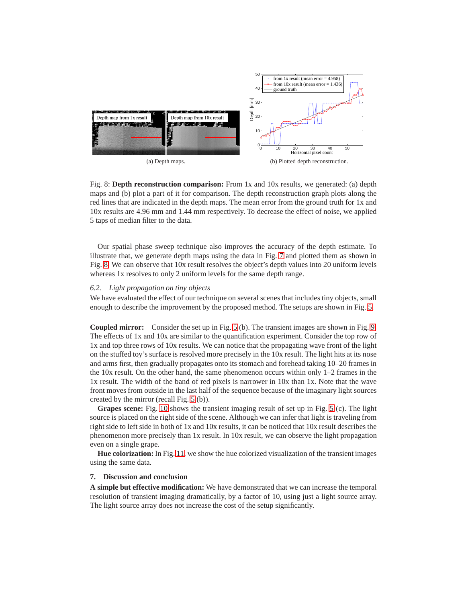<span id="page-10-0"></span>

Fig. 8: **Depth reconstruction comparison:** From 1x and 10x results, we generated: (a) depth maps and (b) plot a part of it for comparison. The depth reconstruction graph plots along the red lines that are indicated in the depth maps. The mean error from the ground truth for 1x and 10x results are 4.96 mm and 1.44 mm respectively. To decrease the effect of noise, we applied 5 taps of median filter to the data.

Our spatial phase sweep technique also improves the accuracy of the depth estimate. To illustrate that, we generate depth maps using the data in Fig. [7](#page-9-0) and plotted them as shown in Fig. [8.](#page-10-0) We can observe that 10x result resolves the object's depth values into 20 uniform levels whereas 1x resolves to only 2 uniform levels for the same depth range.

# *6.2. Light propagation on tiny objects*

We have evaluated the effect of our technique on several scenes that includes tiny objects, small enough to describe the improvement by the proposed method. The setups are shown in Fig. [5.](#page-8-0)

**Coupled mirror:** Consider the set up in Fig. [5](#page-8-0) (b). The transient images are shown in Fig. [9.](#page-11-0) The effects of 1x and 10x are similar to the quantification experiment. Consider the top row of 1x and top three rows of 10x results. We can notice that the propagating wave front of the light on the stuffed toy's surface is resolved more precisely in the 10x result. The light hits at its nose and arms first, then gradually propagates onto its stomach and forehead taking 10–20 frames in the  $10x$  result. On the other hand, the same phenomenon occurs within only  $1-2$  frames in the 1x result. The width of the band of red pixels is narrower in 10x than 1x. Note that the wave front moves from outside in the last half of the sequence because of the imaginary light sources created by the mirror (recall Fig. [5](#page-8-0) (b)).

**Grapes scene:** Fig. [10](#page-12-0) shows the transient imaging result of set up in Fig. [5](#page-8-0) (c). The light source is placed on the right side of the scene. Although we can infer that light is traveling from right side to left side in both of 1x and 10x results, it can be noticed that 10x result describes the phenomenon more precisely than 1x result. In 10x result, we can observe the light propagation even on a single grape.

**Hue colorization:** In Fig. [11,](#page-13-1) we show the hue colorized visualization of the transient images using the same data.

## **7. Discussion and conclusion**

**A simple but effective modification:** We have demonstrated that we can increase the temporal resolution of transient imaging dramatically, by a factor of 10, using just a light source array. The light source array does not increase the cost of the setup significantly.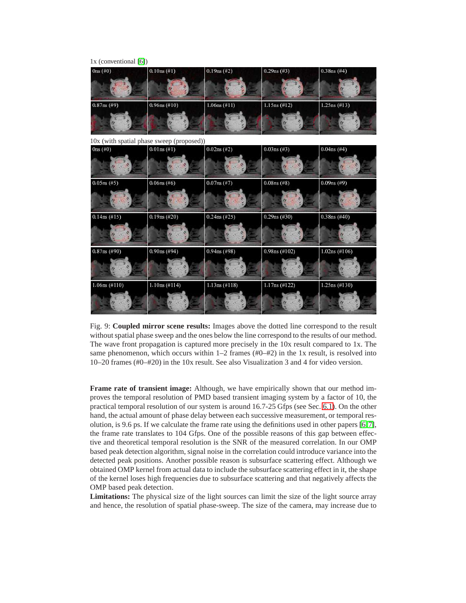<span id="page-11-0"></span>

| $1x$ (conventional [6])                   |                 |                 |                  |                  |
|-------------------------------------------|-----------------|-----------------|------------------|------------------|
| 0ns(#0)                                   | 0.10ns(H1)      | $0.19ns$ (#2)   | $0.29ns$ (#3)    | $0.38ns$ (#4)    |
|                                           |                 |                 |                  |                  |
| $0.87ns$ (#9)                             | $0.96ns$ (#10)  | $1.06ns$ (#11)  | $1.15ns$ (#12)   | $1.25ns$ (#13)   |
|                                           |                 |                 |                  |                  |
| 10x (with spatial phase sweep (proposed)) |                 |                 |                  |                  |
| 0ns(#0)                                   | $0.01ns$ (#1)   | $0.02$ ns (#2)  | $0.03ns$ (#3)    | $0.04$ ns (#4)   |
|                                           |                 |                 |                  |                  |
| $0.05ns$ (#5)                             | $0.06$ ns (#6)  | $0.07ns$ (#7)   | $0.08$ ns (#8)   | $0.09$ ns (#9)   |
|                                           |                 |                 |                  |                  |
| $0.14$ ns (#15)                           | $0.19ns$ (#20)  | $0.24$ ns (#25) | $0.29$ ns (#30)  | $0.38ns$ (#40)   |
|                                           |                 |                 |                  |                  |
| $0.87$ ns (#90)                           | $0.90ns$ (#94)  | $0.94$ ns (#98) | $0.98$ ns (#102) | $1.02$ ns (#106) |
|                                           |                 |                 |                  |                  |
| $1.06ns$ (#110)                           | $1.10ns$ (#114) | $1.13ns$ (#118) | $1.17ns$ (#122)  | $1.25ns$ (#130)  |
|                                           |                 |                 |                  |                  |

Fig. 9: **Coupled mirror scene results:** Images above the dotted line correspond to the result without spatial phase sweep and the ones below the line correspond to the results of our method. The wave front propagation is captured more precisely in the 10x result compared to 1x. The same phenomenon, which occurs within  $1-2$  frames (#0–#2) in the 1x result, is resolved into 10–20 frames (#0–#20) in the 10x result. See also Visualization 3 and 4 for video version.

**Frame rate of transient image:** Although, we have empirically shown that our method improves the temporal resolution of PMD based transient imaging system by a factor of 10, the practical temporal resolution of our system is around 16.7-25 Gfps (see Sec. [6.1\)](#page-9-1). On the other hand, the actual amount of phase delay between each successive measurement, or temporal resolution, is 9.6 ps. If we calculate the frame rate using the definitions used in other papers [\[6,](#page-0-3)[7\]](#page-0-4), the frame rate translates to 104 Gfps. One of the possible reasons of this gap between effective and theoretical temporal resolution is the SNR of the measured correlation. In our OMP based peak detection algorithm, signal noise in the correlation could introduce variance into the detected peak positions. Another possible reason is subsurface scattering effect. Although we obtained OMP kernel from actual data to include the subsurface scattering effect in it, the shape of the kernel loses high frequencies due to subsurface scattering and that negatively affects the OMP based peak detection.

**Limitations:** The physical size of the light sources can limit the size of the light source array and hence, the resolution of spatial phase-sweep. The size of the camera, may increase due to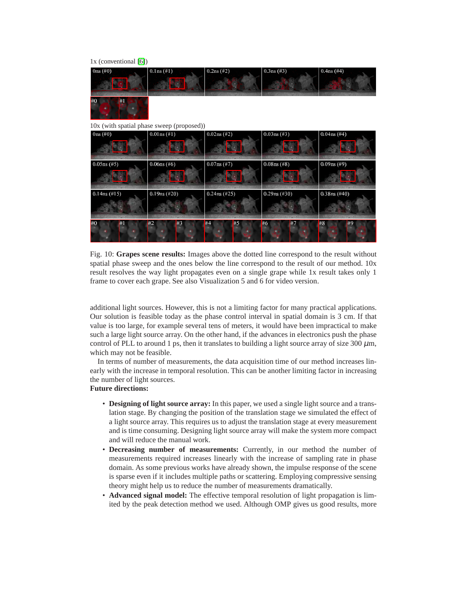<span id="page-12-0"></span>

Fig. 10: **Grapes scene results:** Images above the dotted line correspond to the result without spatial phase sweep and the ones below the line correspond to the result of our method. 10x result resolves the way light propagates even on a single grape while 1x result takes only 1 frame to cover each grape. See also Visualization 5 and 6 for video version.

additional light sources. However, this is not a limiting factor for many practical applications. Our solution is feasible today as the phase control interval in spatial domain is 3 cm. If that value is too large, for example several tens of meters, it would have been impractical to make such a large light source array. On the other hand, if the advances in electronics push the phase control of PLL to around 1 ps, then it translates to building a light source array of size 300  $\mu$ m, which may not be feasible.

In terms of number of measurements, the data acquisition time of our method increases linearly with the increase in temporal resolution. This can be another limiting factor in increasing the number of light sources.

# **Future directions:**

- **Designing of light source array:** In this paper, we used a single light source and a translation stage. By changing the position of the translation stage we simulated the effect of a light source array. This requires us to adjust the translation stage at every measurement and is time consuming. Designing light source array will make the system more compact and will reduce the manual work.
- **Decreasing number of measurements:** Currently, in our method the number of measurements required increases linearly with the increase of sampling rate in phase domain. As some previous works have already shown, the impulse response of the scene is sparse even if it includes multiple paths or scattering. Employing compressive sensing theory might help us to reduce the number of measurements dramatically.
- **Advanced signal model:** The effective temporal resolution of light propagation is limited by the peak detection method we used. Although OMP gives us good results, more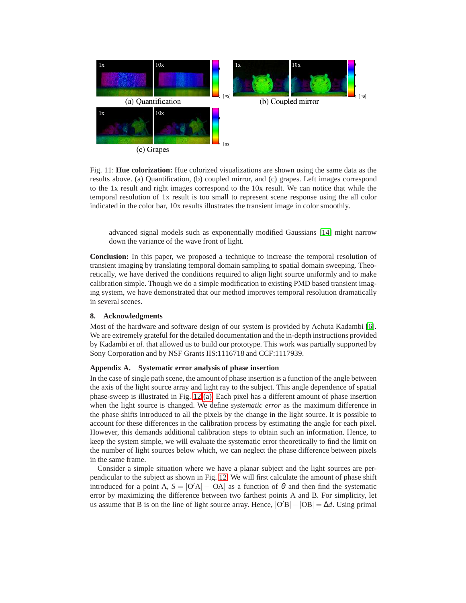<span id="page-13-1"></span>

Fig. 11: **Hue colorization:** Hue colorized visualizations are shown using the same data as the results above. (a) Quantification, (b) coupled mirror, and (c) grapes. Left images correspond to the 1x result and right images correspond to the 10x result. We can notice that while the temporal resolution of 1x result is too small to represent scene response using the all color indicated in the color bar, 10x results illustrates the transient image in color smoothly.

advanced signal models such as exponentially modified Gaussians [\[14\]](#page-1-1) might narrow down the variance of the wave front of light.

**Conclusion:** In this paper, we proposed a technique to increase the temporal resolution of transient imaging by translating temporal domain sampling to spatial domain sweeping. Theoretically, we have derived the conditions required to align light source uniformly and to make calibration simple. Though we do a simple modification to existing PMD based transient imaging system, we have demonstrated that our method improves temporal resolution dramatically in several scenes.

## **8. Acknowledgments**

Most of the hardware and software design of our system is provided by Achuta Kadambi [\[6\]](#page-0-3). We are extremely grateful for the detailed documentation and the in-depth instructions provided by Kadambi *et al.* that allowed us to build our prototype. This work was partially supported by Sony Corporation and by NSF Grants IIS:1116718 and CCF:1117939.

## <span id="page-13-0"></span>**Appendix A. Systematic error analysis of phase insertion**

In the case of single path scene, the amount of phase insertion is a function of the angle between the axis of the light source array and light ray to the subject. This angle dependence of spatial phase-sweep is illustrated in Fig. [12](#page-14-0) [\(a\).](#page-14-1) Each pixel has a different amount of phase insertion when the light source is changed. We define *systematic error* as the maximum difference in the phase shifts introduced to all the pixels by the change in the light source. It is possible to account for these differences in the calibration process by estimating the angle for each pixel. However, this demands additional calibration steps to obtain such an information. Hence, to keep the system simple, we will evaluate the systematic error theoretically to find the limit on the number of light sources below which, we can neglect the phase difference between pixels in the same frame.

Consider a simple situation where we have a planar subject and the light sources are perpendicular to the subject as shown in Fig. [12.](#page-14-0) We will first calculate the amount of phase shift introduced for a point A,  $S = |O'A| - |OA|$  as a function of  $\theta$  and then find the systematic error by maximizing the difference between two farthest points A and B. For simplicity, let us assume that B is on the line of light source array. Hence,  $|O'B| - |OB| = \Delta d$ . Using primal